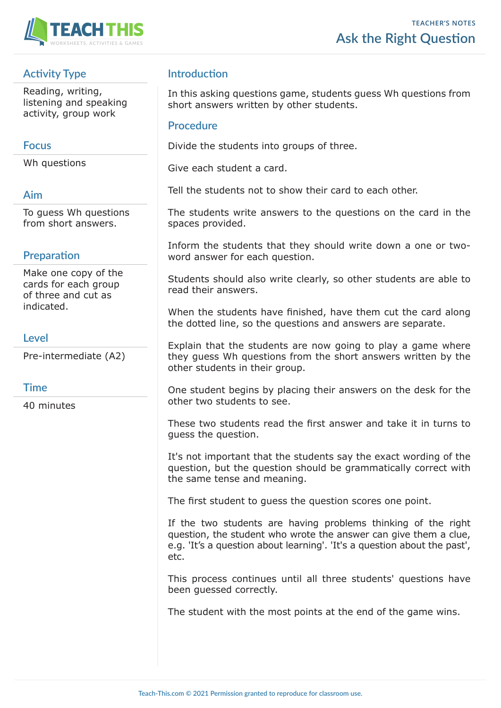

# **Activity Type**

Reading, writing, listening and speaking activity, group work

### **Focus**

Wh questions

#### **Aim**

To guess Wh questions from short answers.

## **Preparation**

Make one copy of the cards for each group of three and cut as indicated.

### **Level**

Pre-intermediate (A2)

### **Time**

40 minutes

## **Introduction**

In this asking questions game, students guess Wh questions from short answers written by other students.

#### **Procedure**

Divide the students into groups of three.

Give each student a card.

Tell the students not to show their card to each other.

The students write answers to the questions on the card in the spaces provided.

Inform the students that they should write down a one or twoword answer for each question.

Students should also write clearly, so other students are able to read their answers.

When the students have finished, have them cut the card along the dotted line, so the questions and answers are separate.

Explain that the students are now going to play a game where they guess Wh questions from the short answers written by the other students in their group.

One student begins by placing their answers on the desk for the other two students to see.

These two students read the first answer and take it in turns to guess the question.

It's not important that the students say the exact wording of the question, but the question should be grammatically correct with the same tense and meaning.

The first student to guess the question scores one point.

If the two students are having problems thinking of the right question, the student who wrote the answer can give them a clue, e.g. 'It's a question about learning'. 'It's a question about the past', etc.

This process continues until all three students' questions have been guessed correctly.

The student with the most points at the end of the game wins.